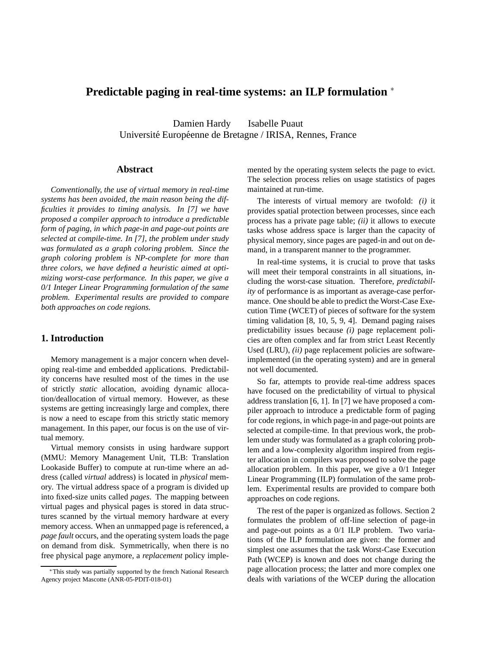# **Predictable paging in real-time systems: an ILP formulation** ∗

Damien Hardy Isabelle Puaut Université Européenne de Bretagne / IRISA, Rennes, France

## **Abstract**

*Conventionally, the use of virtual memory in real-time systems has been avoided, the main reason being the difficulties it provides to timing analysis. In [7] we have proposed a compiler approach to introduce a predictable form of paging, in which page-in and page-out points are selected at compile-time. In [7], the problem under study was formulated as a graph coloring problem. Since the graph coloring problem is NP-complete for more than three colors, we have defined a heuristic aimed at optimizing worst-case performance. In this paper, we give a 0/1 Integer Linear Programming formulation of the same problem. Experimental results are provided to compare both approaches on code regions.*

## **1. Introduction**

Memory management is a major concern when developing real-time and embedded applications. Predictability concerns have resulted most of the times in the use of strictly *static* allocation, avoiding dynamic allocation/deallocation of virtual memory. However, as these systems are getting increasingly large and complex, there is now a need to escape from this strictly static memory management. In this paper, our focus is on the use of virtual memory.

Virtual memory consists in using hardware support (MMU: Memory Management Unit, TLB: Translation Lookaside Buffer) to compute at run-time where an address (called *virtual* address) is located in *physical* memory. The virtual address space of a program is divided up into fixed-size units called *pages*. The mapping between virtual pages and physical pages is stored in data structures scanned by the virtual memory hardware at every memory access. When an unmapped page is referenced, a *page fault* occurs, and the operating system loads the page on demand from disk. Symmetrically, when there is no free physical page anymore, a *replacement* policy implemented by the operating system selects the page to evict. The selection process relies on usage statistics of pages maintained at run-time.

The interests of virtual memory are twofold: *(i)* it provides spatial protection between processes, since each process has a private page table; *(ii)* it allows to execute tasks whose address space is larger than the capacity of physical memory, since pages are paged-in and out on demand, in a transparent manner to the programmer.

In real-time systems, it is crucial to prove that tasks will meet their temporal constraints in all situations, including the worst-case situation. Therefore, *predictability* of performance is as important as average-case performance. One should be able to predict the Worst-Case Execution Time (WCET) of pieces of software for the system timing validation [8, 10, 5, 9, 4]. Demand paging raises predictability issues because *(i)* page replacement policies are often complex and far from strict Least Recently Used (LRU), *(ii)* page replacement policies are softwareimplemented (in the operating system) and are in general not well documented.

So far, attempts to provide real-time address spaces have focused on the predictability of virtual to physical address translation [6, 1]. In [7] we have proposed a compiler approach to introduce a predictable form of paging for code regions, in which page-in and page-out points are selected at compile-time. In that previous work, the problem under study was formulated as a graph coloring problem and a low-complexity algorithm inspired from register allocation in compilers was proposed to solve the page allocation problem. In this paper, we give a 0/1 Integer Linear Programming (ILP) formulation of the same problem. Experimental results are provided to compare both approaches on code regions.

The rest of the paper is organized as follows. Section 2 formulates the problem of off-line selection of page-in and page-out points as a 0/1 ILP problem. Two variations of the ILP formulation are given: the former and simplest one assumes that the task Worst-Case Execution Path (WCEP) is known and does not change during the page allocation process; the latter and more complex one deals with variations of the WCEP during the allocation

<sup>∗</sup>This study was partially supported by the french National Research Agency project Mascotte (ANR-05-PDIT-018-01)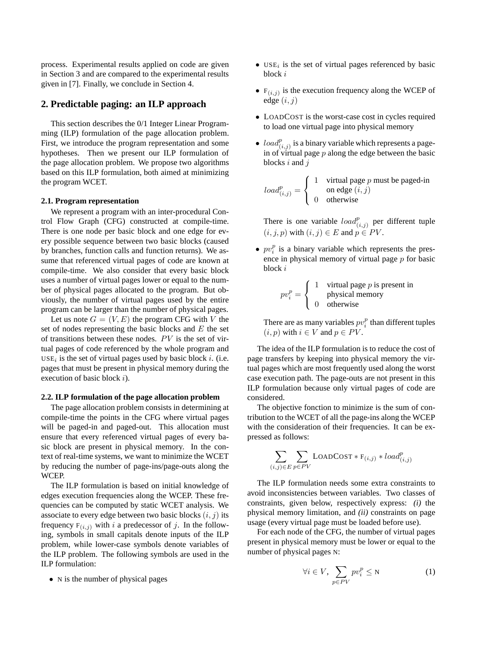process. Experimental results applied on code are given in Section 3 and are compared to the experimental results given in [7]. Finally, we conclude in Section 4.

# **2. Predictable paging: an ILP approach**

This section describes the 0/1 Integer Linear Programming (ILP) formulation of the page allocation problem. First, we introduce the program representation and some hypotheses. Then we present our ILP formulation of the page allocation problem. We propose two algorithms based on this ILP formulation, both aimed at minimizing the program WCET.

#### **2.1. Program representation**

We represent a program with an inter-procedural Control Flow Graph (CFG) constructed at compile-time. There is one node per basic block and one edge for every possible sequence between two basic blocks (caused by branches, function calls and function returns). We assume that referenced virtual pages of code are known at compile-time. We also consider that every basic block uses a number of virtual pages lower or equal to the number of physical pages allocated to the program. But obviously, the number of virtual pages used by the entire program can be larger than the number of physical pages.

Let us note  $G = (V, E)$  the program CFG with V the set of nodes representing the basic blocks and  $E$  the set of transitions between these nodes. PV is the set of virtual pages of code referenced by the whole program and  $USE<sub>i</sub>$  is the set of virtual pages used by basic block i. (i.e. pages that must be present in physical memory during the execution of basic block i).

#### **2.2. ILP formulation of the page allocation problem**

The page allocation problem consists in determining at compile-time the points in the CFG where virtual pages will be paged-in and paged-out. This allocation must ensure that every referenced virtual pages of every basic block are present in physical memory. In the context of real-time systems, we want to minimize the WCET by reducing the number of page-ins/page-outs along the WCEP.

The ILP formulation is based on initial knowledge of edges execution frequencies along the WCEP. These frequencies can be computed by static WCET analysis. We associate to every edge between two basic blocks  $(i, j)$  its frequency  $F(i,j)$  with i a predecessor of j. In the following, symbols in small capitals denote inputs of the ILP problem, while lower-case symbols denote variables of the ILP problem. The following symbols are used in the ILP formulation:

• N is the number of physical pages

- $\bullet$  USE<sub>i</sub> is the set of virtual pages referenced by basic block i
- $F(i,j)$  is the execution frequency along the WCEP of edge  $(i, j)$
- LOADCOST is the worst-case cost in cycles required to load one virtual page into physical memory
- $load_{(i,j)}^p$  is a binary variable which represents a pagein of virtual page  $p$  along the edge between the basic blocks  $i$  and  $j$

$$
load_{(i,j)}^p = \begin{cases} 1 & \text{virtual page } p \text{ must be paged-in} \\ 0 & \text{otherwise} \end{cases}
$$

There is one variable  $load_{(i,j)}^p$  per different tuple  $(i, j, p)$  with  $(i, j) \in E$  and  $p \in PV$ .

•  $pv_i^p$  is a binary variable which represents the presence in physical memory of virtual page p for basic block i

$$
pv_i^p = \begin{cases} 1 & \text{virtual page } p \text{ is present in} \\ 0 & \text{otherwise} \end{cases}
$$

There are as many variables  $pv_i^p$  than different tuples  $(i, p)$  with  $i \in V$  and  $p \in PV$ .

The idea of the ILP formulation is to reduce the cost of page transfers by keeping into physical memory the virtual pages which are most frequently used along the worst case execution path. The page-outs are not present in this ILP formulation because only virtual pages of code are considered.

The objective fonction to minimize is the sum of contribution to the WCET of all the page-ins along the WCEP with the consideration of their frequencies. It can be expressed as follows:

$$
\sum_{(i,j)\in E} \sum_{p\in PV} \text{LOADCOST} * F_{(i,j)} * load_{(i,j)}^p
$$

The ILP formulation needs some extra constraints to avoid inconsistencies between variables. Two classes of constraints, given below, respectively express: *(i)* the physical memory limitation, and *(ii)* constraints on page usage (every virtual page must be loaded before use).

For each node of the CFG, the number of virtual pages present in physical memory must be lower or equal to the number of physical pages N:

$$
\forall i \in V, \sum_{p \in PV} pv_i^p \le N \tag{1}
$$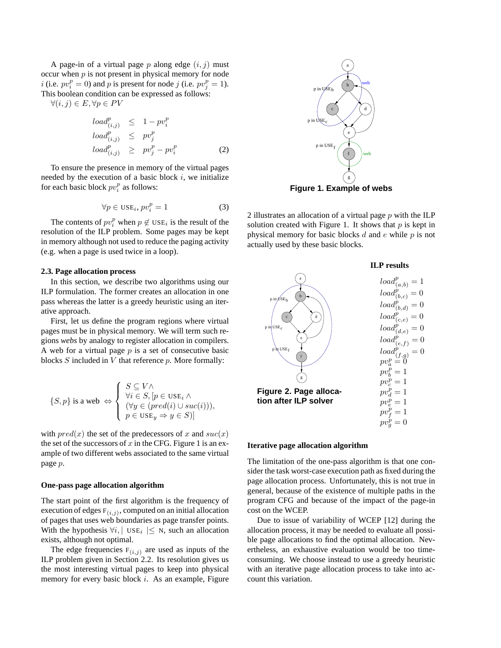A page-in of a virtual page p along edge  $(i, j)$  must occur when  $p$  is not present in physical memory for node *i* (i.e.  $pv_i^p = 0$ ) and *p* is present for node *j* (i.e.  $pv_j^p = 1$ ). This boolean condition can be expressed as follows:

 $\forall (i, j) \in E, \forall p \in PV$ 

$$
load_{(i,j)}^{p} \leq 1 - pv_i^{p}
$$
  
\n
$$
load_{(i,j)}^{p} \leq pv_j^{p}
$$
  
\n
$$
load_{(i,j)}^{p} \geq pv_j^{p} - pv_i^{p}
$$
 (2)

To ensure the presence in memory of the virtual pages needed by the execution of a basic block  $i$ , we initialize for each basic block  $pv_i^p$  as follows:

$$
\forall p \in \text{USE}_i, pv_i^p = 1 \tag{3}
$$

The contents of  $pv_i^p$  when  $p \notin \text{USE}_i$  is the result of the resolution of the ILP problem. Some pages may be kept in memory although not used to reduce the paging activity (e.g. when a page is used twice in a loop).

#### **2.3. Page allocation process**

In this section, we describe two algorithms using our ILP formulation. The former creates an allocation in one pass whereas the latter is a greedy heuristic using an iterative approach.

First, let us define the program regions where virtual pages must be in physical memory. We will term such regions *webs* by analogy to register allocation in compilers. A web for a virtual page  $p$  is a set of consecutive basic blocks  $S$  included in  $V$  that reference  $p$ . More formally:

$$
\{S, p\} \text{ is a web } \Leftrightarrow \begin{cases} S \subseteq V \land \\ \forall i \in S, [p \in \text{USE}_i \land \\ (\forall y \in (pred(i) \cup suc(i))), \\ p \in \text{USE}_y \Rightarrow y \in S)] \end{cases}
$$

with  $pred(x)$  the set of the predecessors of x and  $succ(x)$ the set of the successors of  $x$  in the CFG. Figure 1 is an example of two different webs associated to the same virtual page p.

#### **One-pass page allocation algorithm**

The start point of the first algorithm is the frequency of execution of edges  $F(i,j)$ , computed on an initial allocation of pages that uses web boundaries as page transfer points. With the hypothesis  $\forall i, \mid \text{USE}_i \mid \leq N$ , such an allocation exists, although not optimal.

The edge frequencies  $F(i,j)$  are used as inputs of the ILP problem given in Section 2.2. Its resolution gives us the most interesting virtual pages to keep into physical memory for every basic block i. As an example, Figure



2 illustrates an allocation of a virtual page  $p$  with the ILP solution created with Figure 1. It shows that  $p$  is kept in physical memory for basic blocks  $d$  and  $e$  while  $p$  is not

actually used by these basic blocks.



#### **Iterative page allocation algorithm**

The limitation of the one-pass algorithm is that one consider the task worst-case execution path as fixed during the page allocation process. Unfortunately, this is not true in general, because of the existence of multiple paths in the program CFG and because of the impact of the page-in cost on the WCEP.

Due to issue of variability of WCEP [12] during the allocation process, it may be needed to evaluate all possible page allocations to find the optimal allocation. Nevertheless, an exhaustive evaluation would be too timeconsuming. We choose instead to use a greedy heuristic with an iterative page allocation process to take into account this variation.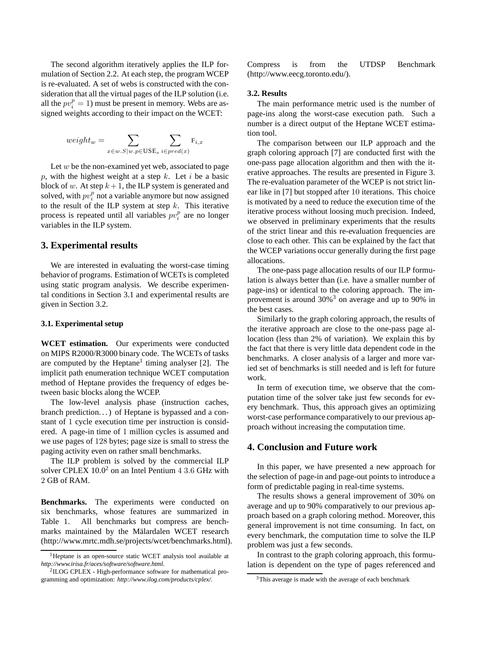The second algorithm iteratively applies the ILP formulation of Section 2.2. At each step, the program WCEP is re-evaluated. A set of webs is constructed with the consideration that all the virtual pages of the ILP solution (i.e. all the  $pv_i^p = 1$ ) must be present in memory. Webs are assigned weights according to their impact on the WCET:

$$
weight_w = \sum_{x \in w.S|w.p \in \text{USE}_x} \sum_{i \in pred(x)} \mathbf{F}_{i,x}
$$

Let  $w$  be the non-examined yet web, associated to page p, with the highest weight at a step k. Let i be a basic block of w. At step  $k+1$ , the ILP system is generated and solved, with  $pv_i^p$  not a variable anymore but now assigned to the result of the ILP system at step  $k$ . This iterative process is repeated until all variables  $pv_i^p$  are no longer variables in the ILP system.

#### **3. Experimental results**

We are interested in evaluating the worst-case timing behavior of programs. Estimation of WCETs is completed using static program analysis. We describe experimental conditions in Section 3.1 and experimental results are given in Section 3.2.

## **3.1. Experimental setup**

**WCET estimation.** Our experiments were conducted on MIPS R2000/R3000 binary code. The WCETs of tasks are computed by the Heptane<sup>1</sup> timing analyser  $[2]$ . The implicit path enumeration technique WCET computation method of Heptane provides the frequency of edges between basic blocks along the WCEP.

The low-level analysis phase (instruction caches, branch prediction. . . ) of Heptane is bypassed and a constant of 1 cycle execution time per instruction is considered. A page-in time of 1 million cycles is assumed and we use pages of 128 bytes; page size is small to stress the paging activity even on rather small benchmarks.

The ILP problem is solved by the commercial ILP solver CPLEX  $10.0<sup>2</sup>$  on an Intel Pentium 4 3.6 GHz with 2 GB of RAM.

**Benchmarks.** The experiments were conducted on six benchmarks, whose features are summarized in Table 1. All benchmarks but compress are benchmarks maintained by the Mälardalen WCET research (http://www.mrtc.mdh.se/projects/wcet/benchmarks.html). Compress is from the UTDSP Benchmark (http://www.eecg.toronto.edu/).

# **3.2. Results**

The main performance metric used is the number of page-ins along the worst-case execution path. Such a number is a direct output of the Heptane WCET estimation tool.

The comparison between our ILP approach and the graph coloring approach [7] are conducted first with the one-pass page allocation algorithm and then with the iterative approaches. The results are presented in Figure 3. The re-evaluation parameter of the WCEP is not strict linear like in [7] but stopped after 10 iterations. This choice is motivated by a need to reduce the execution time of the iterative process without loosing much precision. Indeed, we observed in preliminary experiments that the results of the strict linear and this re-evaluation frequencies are close to each other. This can be explained by the fact that the WCEP variations occur generally during the first page allocations.

The one-pass page allocation results of our ILP formulation is always better than (i.e. have a smaller number of page-ins) or identical to the coloring approach. The improvement is around 30%<sup>3</sup> on average and up to 90% in the best cases.

Similarly to the graph coloring approach, the results of the iterative approach are close to the one-pass page allocation (less than 2% of variation). We explain this by the fact that there is very little data dependent code in the benchmarks. A closer analysis of a larger and more varied set of benchmarks is still needed and is left for future work.

In term of execution time, we observe that the computation time of the solver take just few seconds for every benchmark. Thus, this approach gives an optimizing worst-case performance comparatively to our previous approach without increasing the computation time.

## **4. Conclusion and Future work**

In this paper, we have presented a new approach for the selection of page-in and page-out points to introduce a form of predictable paging in real-time systems.

The results shows a general improvement of 30% on average and up to 90% comparatively to our previous approach based on a graph coloring method. Moreover, this general improvement is not time consuming. In fact, on every benchmark, the computation time to solve the ILP problem was just a few seconds.

In contrast to the graph coloring approach, this formulation is dependent on the type of pages referenced and

<sup>&</sup>lt;sup>1</sup>Heptane is an open-source static WCET analysis tool available at *http://www.irisa.fr/aces/software/software.html*.

<sup>2</sup> ILOG CPLEX - High-performance software for mathematical programming and optimization: *http://www.ilog.com/products/cplex/.*

<sup>&</sup>lt;sup>3</sup>This average is made with the average of each benchmark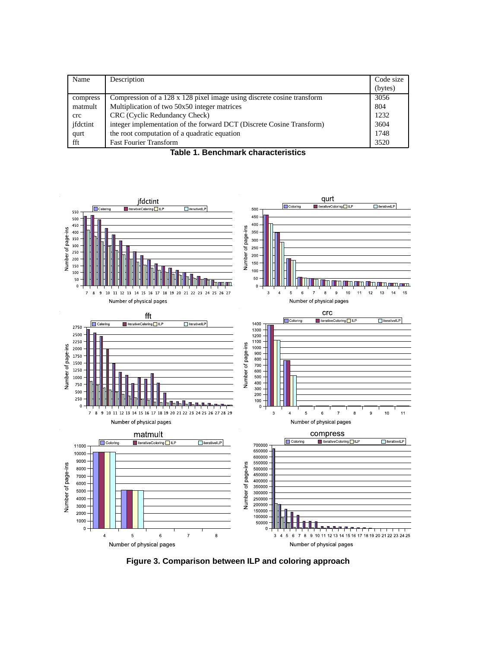| Name         | Description                                                            | Code size |
|--------------|------------------------------------------------------------------------|-----------|
|              |                                                                        | (bytes)   |
| compress     | Compression of a 128 x 128 pixel image using discrete cosine transform | 3056      |
| matmult      | Multiplication of two 50x50 integer matrices                           | 804       |
| $_{\rm crc}$ | CRC (Cyclic Redundancy Check)                                          | 1232      |
| ifdctint     | integer implementation of the forward DCT (Discrete Cosine Transform)  | 3604      |
| qurt         | the root computation of a quadratic equation                           | 1748      |
| fft          | <b>Fast Fourier Transform</b>                                          | 3520      |

**Table 1. Benchmark characteristics**



**Figure 3. Comparison between ILP and coloring approach**